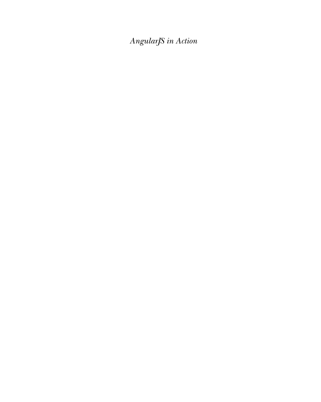*AngularJS in Action*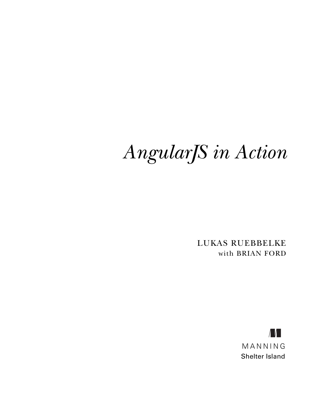# AngularJS in Action

**LUKAS RUEBBELKE** with BRIAN FORD



MANNING Shelter Island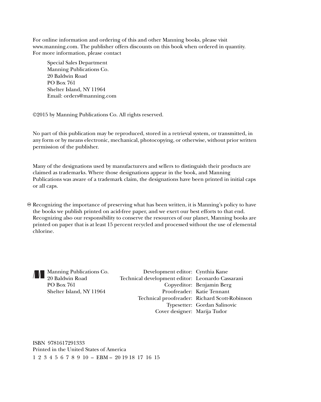For online information and ordering of this and other Manning books, please visit www.manning.com. The publisher offers discounts on this book when ordered in quantity. For more information, please contact

Special Sales Department Manning Publications Co. 20 Baldwin Road PO Box 761 Shelter Island, NY 11964 Email: orders@manning.com

©2015 by Manning Publications Co. All rights reserved.

No part of this publication may be reproduced, stored in a retrieval system, or transmitted, in any form or by means electronic, mechanical, photocopying, or otherwise, without prior written permission of the publisher.

Many of the designations used by manufacturers and sellers to distinguish their products are claimed as trademarks. Where those designations appear in the book, and Manning Publications was aware of a trademark claim, the designations have been printed in initial caps or all caps.

Recognizing the importance of preserving what has been written, it is Manning's policy to have the books we publish printed on acid-free paper, and we exert our best efforts to that end. Recognizing also our responsibility to conserve the resources of our planet, Manning books are printed on paper that is at least 15 percent recycled and processed without the use of elemental chlorine.



Manning Publications Co. Development editor: Cynthia Kane 20 Baldwin Road Technical development editor: Leonardo Cassarani Copyeditor: Benjamin Berg Shelter Island, NY 11964 Proofreader: Katie Tennant Technical proofreader: Richard Scott-Robinson Typesetter: Gordan Salinovic Cover designer: Marija Tudor

ISBN 9781617291333 Printed in the United States of America 1 2 3 4 5 6 7 8 9 10 – EBM – 20 19 18 17 16 15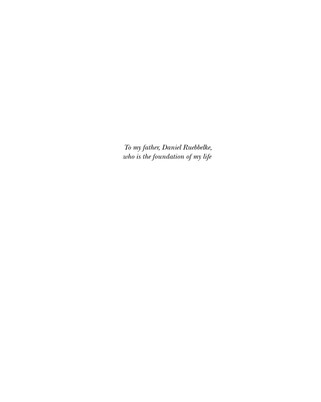*To my father, Daniel Ruebbelke, who is the foundation of my life*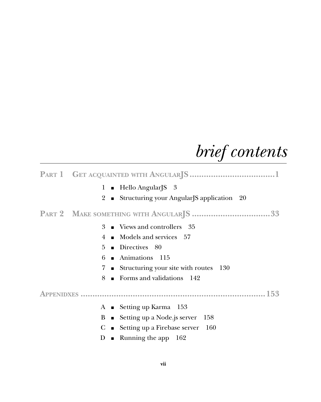# *brief contents*

|                                         |  | 1 • Hello Angular $\sim$ 18 $\sim$ 3              |
|-----------------------------------------|--|---------------------------------------------------|
|                                         |  | 2 • Structuring your Angular Sapplication $20$    |
| PART 2 MAKE SOMETHING WITH ANGULARJS 33 |  |                                                   |
|                                         |  | 3 • Views and controllers 35                      |
|                                         |  | 4 Models and services 57                          |
|                                         |  | $5 \square$ Directives 80                         |
|                                         |  | $6 \bullet$ Animations 115                        |
|                                         |  | 7 • Structuring your site with routes $130$       |
|                                         |  | 8 • Forms and validations 142                     |
|                                         |  |                                                   |
|                                         |  | A Setting up Karma $153$                          |
|                                         |  | $B \equiv$ Setting up a Node.js server 158        |
|                                         |  | $C \blacksquare$ Setting up a Firebase server 160 |
|                                         |  | $D$ • Running the app 162                         |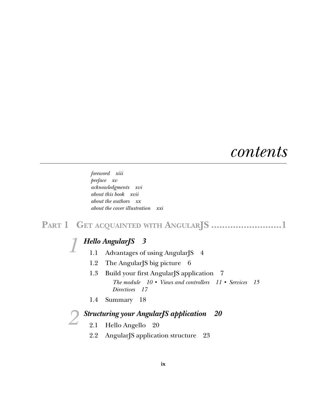### *contents*

*[foreword xiii](#page-12-0) [preface xv](#page-14-0) [acknowledgments xvi](#page-15-0) [about this book xvii](#page-16-0) [about the authors xx](#page-19-0) [about the cover illustration xxi](#page-20-0)*

### PART 1 GET ACQUAINTED WITH ANGULARJS ..............................1

# *Hello AngularJS* 3<br>1.1 Advantages of

- Advantages of using AngularJS 4
	- 1.2 The AngularJS big picture 6
	- 1.3 Build your first AngularJS application 7 *The module 10* ■ *Views and controllers 11* ■ *Services 15 Directives 17*
	- 1.4 Summary 18

# *Structuring your AngularJS application* 20<br>2.1 Hello Angello 20

- Hello Angello 20
- 2.2 AngularJS application structure 23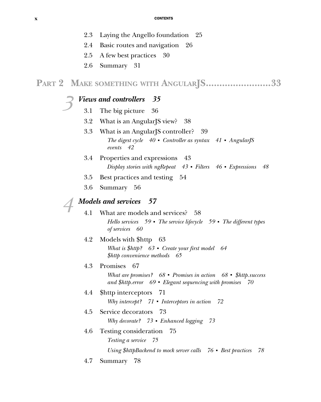- 2.3 Laying the Angello foundation 25
- 2.4 Basic routes and navigation 26
- 2.5 A few best practices 30
- 2.6 Summary 31

### PART 2 MAKE SOMETHING WITH ANGULARJS........................33

# *Views and controllers* 35<br>3.1 The big picture 36

- The big picture
- 3.2 What is an AngularJS view? 38
- 3.3 What is an AngularJS controller? 39 *The digest cycle 40* ■ *Controller as syntax 41* ■ *AngularJS events 42*
- 3.4 Properties and expressions 43 *Display stories with ngRepeat 43* ■ *Filters 46* ■ *Expressions 48*
- 3.5 Best practices and testing 54
- 3.6 Summary 56

## *Models and services* 57<br>4.1 What are models an

- What are models and services? 58 *Hello services 59* ■ *The service lifecycle 59* ■ *The different types of services 60*
- 4.2 Models with \$http 63 *What is \$http? 63* ■ *Create your first model 64 \$http convenience methods 65*

#### 4.3 Promises 67

*What are promises? 68* ■ *Promises in action 68* ■ *\$http.success and \$http.error 69* ■ *Elegant sequencing with promises 70*

- 4.4 \$http interceptors 71 *Why intercept? 71* ■ *Interceptors in action 72*
- 4.5 Service decorators 73 *Why decorate? 73* ■ *Enhanced logging 73*
- 4.6 Testing consideration 75 *Testing a service 75 Using \$httpBackend to mock server calls 76* ■ *Best practices 78*
- 4.7 Summary 78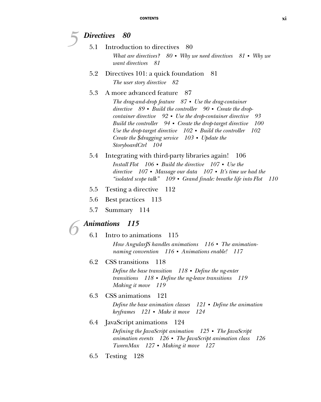### *5 Directives 80*

- Introduction to directives 80 *What are directives? 80* ■ *Why we need directives 81* ■ *Why we want directives 81*
- 5.2 Directives 101: a quick foundation 81 *The user story directive 82*
- 5.3 A more advanced feature 87

*The drag-and-drop feature 87* ■ *Use the drag-container directive 89* ■ *Build the controller 90* ■ *Create the dropcontainer directive 92* ■ *Use the drop-container directive 93 Build the controller 94* ■ *Create the drop-target directive 100 Use the drop-target directive 102* ■ *Build the controller 102 Create the \$dragging service 103* ■ *Update the StoryboardCtrl 104*

5.4 Integrating with third-party libraries again! 106

*Install Flot 106* ■ *Build the directive 107* ■ *Use the directive 107* ■ *Massage our data 107* ■ *It's time we had the "isolated scope talk" 109* ■ *Grand finale: breathe life into Flot 110*

- 5.5 Testing a directive 112
- 5.6 Best practices 113
- 5.7 Summary 114

### *Animations 115*<br>6.1 Intro to anim

- Intro to animations 115 *How AngularJS handles animations 116* ■ *The animationnaming convention 116* ■ *Animations enable! 117*
- 6.2 CSS transitions 118

*Define the base transition 118* ■ *Define the ng-enter transitions 118* ■ *Define the ng-leave transitions 119 Making it move 119*

### 6.3 CSS animations 121 *Define the base animation classes 121* ■ *Define the animation keyframes 121* ■ *Make it move 124*

- 6.4 JavaScript animations 124 *Defining the JavaScript animation 125* ■ *The JavaScript animation events 126* ■ *The JavaScript animation class 126 TweenMax 127* ■ *Making it move 127*
- 6.5 Testing 128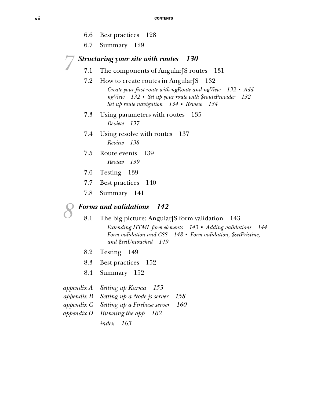- 6.6 Best practices 128
- 6.7 Summary 129

### *Structuring your site with routes* 130<br>7.1 The components of AngularJS rou

- The components of Angular<sub>IS</sub> routes 131
- 7.2 How to create routes in Angular [S 132]

*Create your first route with ngRoute and ngView 132* ■ *Add ngView 132* ■ *Set up your route with \$routeProvider 132 Set up route navigation 134* ■ *Review 134*

- 7.3 Using parameters with routes 135 *Review 137*
- 7.4 Using resolve with routes 137 *Review 138*
- 7.5 Route events 139 *Review 139*
- 7.6 Testing 139
- 7.7 Best practices 140
- 7.8 Summary 141

# *8.1* The big picture: Angula

- The big picture: Angular S form validation 143 *Extending HTML form elements 143* ■ *Adding validations 144 Form validation and CSS 148* ■ *Form validation, \$setPristine, and \$setUntouched 149*
- 8.2 Testing 149
- 8.3 Best practices 152
- 8.4 Summary 152
- *appendix A Setting up Karma 153 appendix B Setting up a Node.js server 158 appendix C Setting up a Firebase server 160 appendix D Running the app 162 index 163*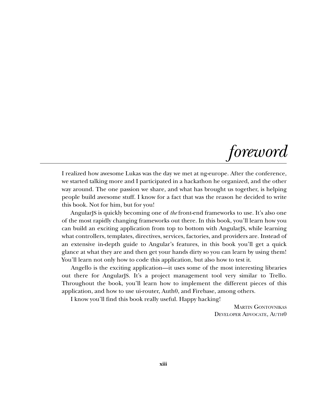# *foreword*

<span id="page-12-0"></span>I realized how awesome Lukas was the day we met at ng-europe. After the conference, we started talking more and I participated in a hackathon he organized, and the other way around. The one passion we share, and what has brought us together, is helping people build awesome stuff. I know for a fact that was the reason he decided to write this book. Not for him, but for you!

 AngularJS is quickly becoming one of *the* front-end frameworks to use. It's also one of the most rapidly changing frameworks out there. In this book, you'll learn how you can build an exciting application from top to bottom with AngularJS, while learning what controllers, templates, directives, services, factories, and providers are. Instead of an extensive in-depth guide to Angular's features, in this book you'll get a quick glance at what they are and then get your hands dirty so you can learn by using them! You'll learn not only how to code this application, but also how to test it.

 Angello is the exciting application—it uses some of the most interesting libraries out there for AngularJS. It's a project management tool very similar to Trello. Throughout the book, you'll learn how to implement the different pieces of this application, and how to use ui-router, Auth0, and Firebase, among others.

I know you'll find this book really useful. Happy hacking!

 MARTIN GONTOVNIKAS DEVELOPER ADVOCATE, AUTH0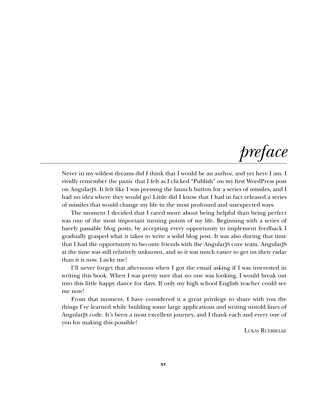*preface*

<span id="page-14-0"></span>Never in my wildest dreams did I think that I would be an author, and yet here I am. I vividly remember the panic that I felt as I clicked "Publish" on my first WordPress post on AngularJS. It felt like I was pressing the launch button for a series of missiles, and I had no idea where they would go! Little did I know that I had in fact released a series of missiles that would change my life in the most profound and unexpected ways.

 The moment I decided that I cared more about being helpful than being perfect was one of the most important turning points of my life. Beginning with a series of barely passable blog posts, by accepting every opportunity to implement feedback I gradually grasped what it takes to write a solid blog post. It was also during that time that I had the opportunity to become friends with the AngularJS core team. AngularJS at the time was still relatively unknown, and so it was much easier to get on their radar than it is now. Lucky me!

 I'll never forget that afternoon when I got the email asking if I was interested in writing this book. When I was pretty sure that no one was looking, I would break out into this little happy dance for days. If only my high school English teacher could see me now!

 From that moment, I have considered it a great privilege to share with you the things I've learned while building some large applications and writing untold lines of AngularJS code. It's been a most excellent journey, and I thank each and every one of you for making this possible!

LUKAS RUEBBELKE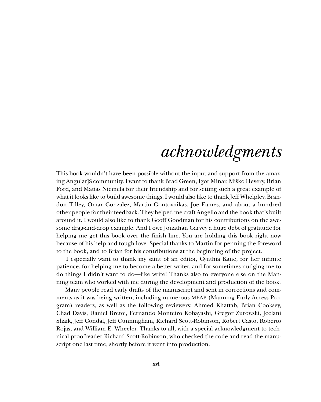# *acknowledgments*

<span id="page-15-0"></span>This book wouldn't have been possible without the input and support from the amazing AngularJS community. I want to thank Brad Green, Igor Minar, Miško Hevery, Brian Ford, and Matias Niemela for their friendship and for setting such a great example of what it looks like to build awesome things. I would also like to thank Jeff Whelpley, Brandon Tilley, Omar Gonzalez, Martin Gontovnikas, Joe Eames, and about a hundred other people for their feedback. They helped me craft Angello and the book that's built around it. I would also like to thank Geoff Goodman for his contributions on the awesome drag-and-drop example. And I owe Jonathan Garvey a huge debt of gratitude for helping me get this book over the finish line. You are holding this book right now because of his help and tough love. Special thanks to Martin for penning the foreword to the book, and to Brian for his contributions at the beginning of the project.

 I especially want to thank my saint of an editor, Cynthia Kane, for her infinite patience, for helping me to become a better writer, and for sometimes nudging me to do things I didn't want to do—like write! Thanks also to everyone else on the Manning team who worked with me during the development and production of the book.

 Many people read early drafts of the manuscript and sent in corrections and comments as it was being written, including numerous MEAP (Manning Early Access Program) readers, as well as the following reviewers: Ahmed Khattab, Brian Cooksey, Chad Davis, Daniel Bretoi, Fernando Monteiro Kobayashi, Gregor Zurowski, Jeelani Shaik, Jeff Condal, Jeff Cunningham, Richard Scott-Robinson, Robert Casto, Roberto Rojas, and William E. Wheeler. Thanks to all, with a special acknowledgment to technical proofreader Richard Scott-Robinson, who checked the code and read the manuscript one last time, shortly before it went into production.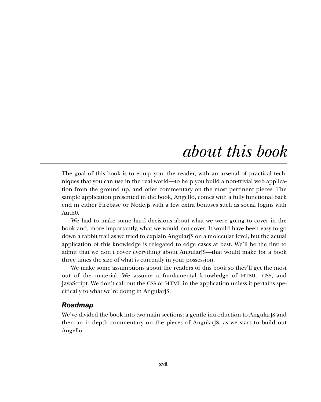## *about this book*

<span id="page-16-0"></span>The goal of this book is to equip you, the reader, with an arsenal of practical techniques that you can use in the real world—to help you build a non-trivial web application from the ground up, and offer commentary on the most pertinent pieces. The sample application presented in the book, Angello, comes with a fully functional back end in either Firebase or Node.js with a few extra bonuses such as social logins with Auth0.

 We had to make some hard decisions about what we were going to cover in the book and, more importantly, what we would not cover. It would have been easy to go down a rabbit trail as we tried to explain AngularJS on a molecular level, but the actual application of this knowledge is relegated to edge cases at best. We'll be the first to admit that we don't cover everything about Angular<sub>JS</sub>—that would make for a book three times the size of what is currently in your possession.

 We make some assumptions about the readers of this book so they'll get the most out of the material. We assume a fundamental knowledge of HTML, CSS, and JavaScript. We don't call out the CSS or HTML in the application unless it pertains specifically to what we're doing in AngularJS.

#### *Roadmap*

We've divided the book into two main sections: a gentle introduction to AngularJS and then an in-depth commentary on the pieces of AngularJS, as we start to build out Angello.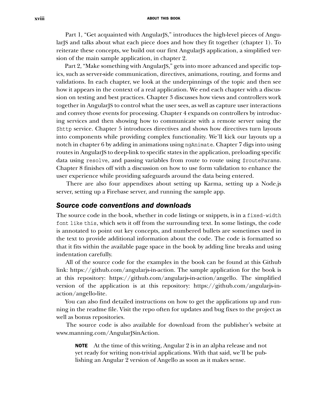Part 1, "Get acquainted with AngularJS," introduces the high-level pieces of AngularJS and talks about what each piece does and how they fit together (chapter 1). To reiterate these concepts, we build out our first AngularJS application, a simplified version of the main sample application, in chapter 2.

Part 2, "Make something with Angular (S)" gets into more advanced and specific topics, such as server-side communication, directives, animations, routing, and forms and validations. In each chapter, we look at the underpinnings of the topic and then see how it appears in the context of a real application. We end each chapter with a discussion on testing and best practices. Chapter 3 discusses how views and controllers work together in AngularJS to control what the user sees, as well as capture user interactions and convey those events for processing. Chapter 4 expands on controllers by introducing services and then showing how to communicate with a remote server using the \$http service. Chapter 5 introduces directives and shows how directives turn layouts into components while providing complex functionality. We'll kick our layouts up a notch in chapter 6 by adding in animations using ngAnimate. Chapter 7 digs into using routes in AngularJS to deep-link to specific states in the application, preloading specific data using resolve, and passing variables from route to route using \$routeParams. Chapter 8 finishes off with a discussion on how to use form validation to enhance the user experience while providing safeguards around the data being entered.

 There are also four appendixes about setting up Karma, setting up a Node.js server, setting up a Firebase server, and running the sample app.

#### *Source code conventions and downloads*

The source code in the book, whether in code listings or snippets, is in a fixed-width font like this, which sets it off from the surrounding text. In some listings, the code is annotated to point out key concepts, and numbered bullets are sometimes used in the text to provide additional information about the code. The code is formatted so that it fits within the available page space in the book by adding line breaks and using indentation carefully.

 All of the source code for the examples in the book can be found at this Github link: [https://github.com/angularjs-in-action.](https://github.com/angularjs-in-action) The sample application for the book is at this repository: <https://github.com/angularjs-in-action/angello>. The simplified version of the application is at this repository: [https://github.com/angularjs-in](https://github.com/angularjs-in-action/angello-lite)[action/angello-lite](https://github.com/angularjs-in-action/angello-lite).

 You can also find detailed instructions on how to get the applications up and running in the readme file. Visit the repo often for updates and bug fixes to the project as well as bonus repositories.

 The source code is also available for download from the publisher's website at [www.manning.com/Angular](http://www.manning.com/AngularJS)JSinAction.

NOTE At the time of this writing, Angular 2 is in an alpha release and not yet ready for writing non-trivial applications. With that said, we'll be publishing an Angular 2 version of Angello as soon as it makes sense.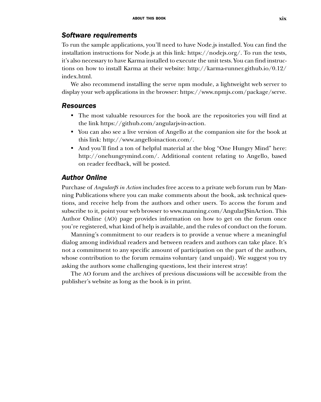#### *Software requirements*

To run the sample applications, you'll need to have Node.js installed. You can find the installation instructions for Node.js at this link: [https://nodejs.org/.](https://nodejs.org/) To run the tests, it's also necessary to have Karma installed to execute the unit tests. You can find instructions on how to install Karma at their website: [http://karma-runner.github.io/0.12/](http://karma-runner.github.io/0.12/index.html) [index.html](http://karma-runner.github.io/0.12/index.html).

 We also recommend installing the serve npm module, a lightweight web server to display your web applications in the browser: [https://www.npmjs.com/package/serve.](https://www.npmjs.com/package/serve)

#### *Resources*

- The most valuable resources for the book are the repositories you will find at the link [https://github.com/angularjs-in-action.](https://github.com/angularjs-in-action)
- You can also see a live version of Angello at the companion site for the book at this link: [http://www.angelloinaction.com/.](http://www.angelloinaction.com/)
- And you'll find a ton of helpful material at the blog "One Hungry Mind" here: [http://onehungrymind.com/.](http://onehungrymind.com/) Additional content relating to Angello, based on reader feedback, will be posted.

### *Author Online*

Purchase of *AngularJS in Action* includes free access to a private web forum run by Manning Publications where you can make comments about the book, ask technical questions, and receive help from the authors and other users. To access the forum and subscribe to it, point your web browser to<www.manning.com/AngularJSinAction>. This Author Online (AO) page provides information on how to get on the forum once you're registered, what kind of help is available, and the rules of conduct on the forum.

 Manning's commitment to our readers is to provide a venue where a meaningful dialog among individual readers and between readers and authors can take place. It's not a commitment to any specific amount of participation on the part of the authors, whose contribution to the forum remains voluntary (and unpaid). We suggest you try asking the authors some challenging questions, lest their interest stray!

 The AO forum and the archives of previous discussions will be accessible from the publisher's website as long as the book is in print.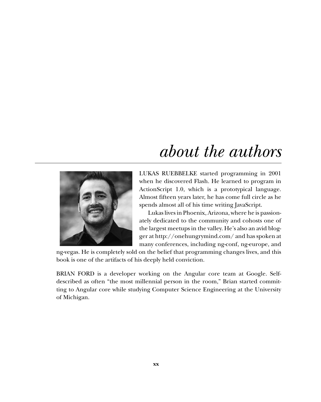# *about the authors*

<span id="page-19-0"></span>

LUKAS RUEBBELKE started programming in 2001 when he discovered Flash. He learned to program in ActionScript 1.0, which is a prototypical language. Almost fifteen years later, he has come full circle as he spends almost all of his time writing JavaScript.

 Lukas lives in Phoenix, Arizona, where he is passionately dedicated to the community and cohosts one of the largest meetups in the valley. He's also an avid blogger at<http://onehungrymind.com/> and has spoken at many conferences, including ng-conf, ng-europe, and

ng-vegas. He is completely sold on the belief that programming changes lives, and this book is one of the artifacts of his deeply held conviction.

BRIAN FORD is a developer working on the Angular core team at Google. Selfdescribed as often "the most millennial person in the room," Brian started committing to Angular core while studying Computer Science Engineering at the University of Michigan.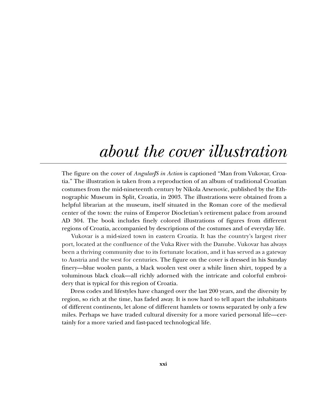### *about the cover illustration*

<span id="page-20-0"></span>The figure on the cover of *AngularJS in Action* is captioned "Man from Vukovar, Croatia." The illustration is taken from a reproduction of an album of traditional Croatian costumes from the mid-nineteenth century by Nikola Arsenovic, published by the Ethnographic Museum in Split, Croatia, in 2003. The illustrations were obtained from a helpful librarian at the museum, itself situated in the Roman core of the medieval center of the town: the ruins of Emperor Diocletian's retirement palace from around AD 304. The book includes finely colored illustrations of figures from different regions of Croatia, accompanied by descriptions of the costumes and of everyday life.

Vukovar is a mid-sized town in eastern Croatia. It has the country's largest river port, located at the confluence of the Vuka River with the Danube. Vukovar has always been a thriving community due to its fortunate location, and it has served as a gateway to Austria and the west for centuries. The figure on the cover is dressed in his Sunday finery—blue woolen pants, a black woolen vest over a while linen shirt, topped by a voluminous black cloak—all richly adorned with the intricate and colorful embroidery that is typical for this region of Croatia.

 Dress codes and lifestyles have changed over the last 200 years, and the diversity by region, so rich at the time, has faded away. It is now hard to tell apart the inhabitants of different continents, let alone of different hamlets or towns separated by only a few miles. Perhaps we have traded cultural diversity for a more varied personal life—certainly for a more varied and fast-paced technological life.